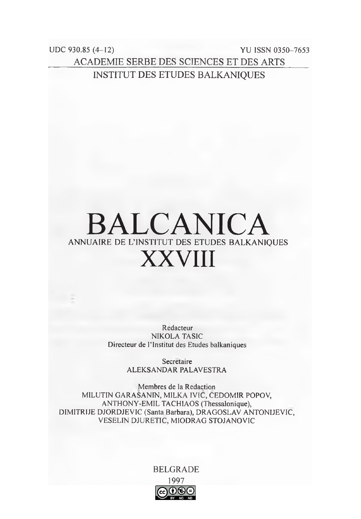$UDC$  930.85 (4-12) **YU ISSN 0350-7653 ACADEMIE SERBE DES SCIENCES ET DES ARTS INSTITUT DES ETUDES BALKANIQUES** 

## **BALCANICA** ANNUAIRE DE L'INSTITUT DES ETUDES BALKANIOUES **XXVIII**

Redacteur **NIKOLA TASIC** Directeur de l'Institut des Etudes balkaniques

> Secretaire ALEKSANDAR PALAVESTRA

Membres de la Redaction MILUTIN GARASANIN, MILKA IVIC, CEDOMIR POPOV, ANTHONY-EMIL TACHIAOS (Thessalonique), DIMITRIJE DJORDJEVIC (Santa Barbara), DRAGOSLAV ANTONIJEVIC, VESELIN DJURETIC, MIODRAG STOJANOVIC